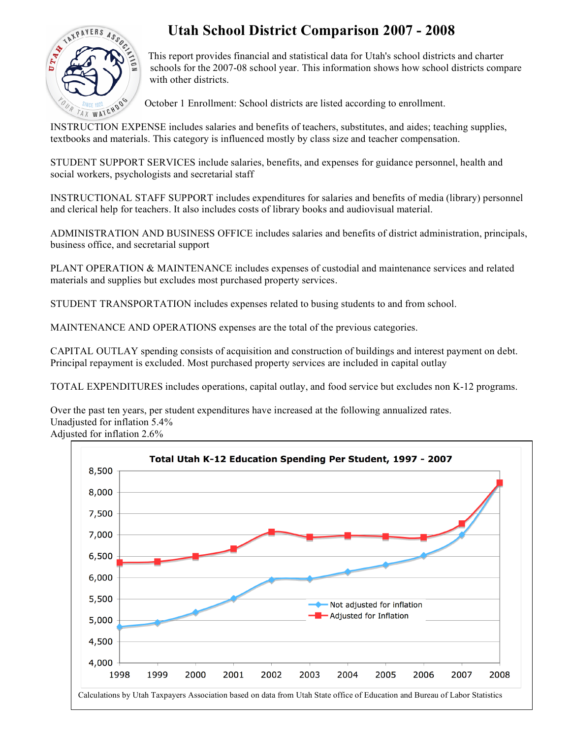

## **Utah School District Comparison 2007 - 2008**

This report provides financial and statistical data for Utah's school districts and charter schools for the 2007-08 school year. This information shows how school districts compare with other districts.

October 1 Enrollment: School districts are listed according to enrollment.

INSTRUCTION EXPENSE includes salaries and benefits of teachers, substitutes, and aides; teaching supplies, textbooks and materials. This category is influenced mostly by class size and teacher compensation.

STUDENT SUPPORT SERVICES include salaries, benefits, and expenses for guidance personnel, health and social workers, psychologists and secretarial staff

INSTRUCTIONAL STAFF SUPPORT includes expenditures for salaries and benefits of media (library) personnel and clerical help for teachers. It also includes costs of library books and audiovisual material.

ADMINISTRATION AND BUSINESS OFFICE includes salaries and benefits of district administration, principals, business office, and secretarial support

PLANT OPERATION & MAINTENANCE includes expenses of custodial and maintenance services and related materials and supplies but excludes most purchased property services.

STUDENT TRANSPORTATION includes expenses related to busing students to and from school.

MAINTENANCE AND OPERATIONS expenses are the total of the previous categories.

CAPITAL OUTLAY spending consists of acquisition and construction of buildings and interest payment on debt. Principal repayment is excluded. Most purchased property services are included in capital outlay

TOTAL EXPENDITURES includes operations, capital outlay, and food service but excludes non K-12 programs.

Over the past ten years, per student expenditures have increased at the following annualized rates. Unadjusted for inflation 5.4%

Adjusted for inflation 2.6%

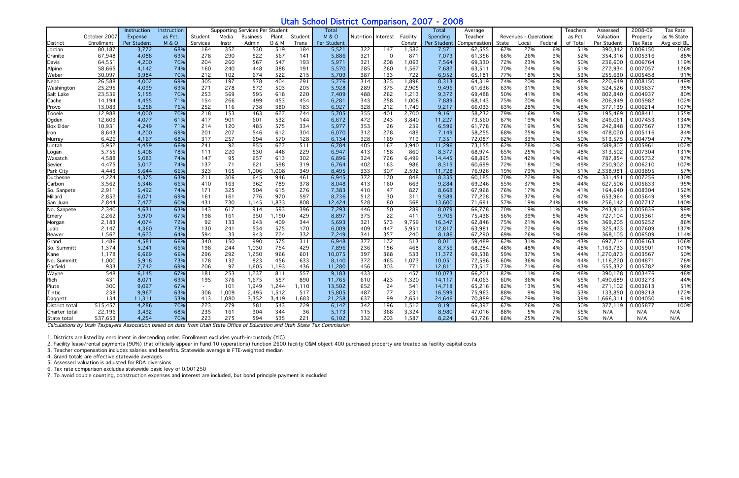## Utah School District Comparison, 2007 - 2008

|                  |              | Instruction | <b>Instruction</b> |                          |       | Supporting Services Per Student |       |         | <b>Total</b>     |                  |                 |          | Total       | Average      |       |                              |           | <b>Teachers</b> | Assessed    | 2008-09  | Tax Rate    |
|------------------|--------------|-------------|--------------------|--------------------------|-------|---------------------------------|-------|---------|------------------|------------------|-----------------|----------|-------------|--------------|-------|------------------------------|-----------|-----------------|-------------|----------|-------------|
|                  | October 2007 | Expense     | as Pct.            | Student                  | Media | <b>Business</b>                 | Plant | Student | <b>M &amp; O</b> | <b>Nutrition</b> | <b>Interest</b> | Facility | Spending    | Teacher      |       | <b>Revenues - Operations</b> |           | as Pct          | Valuation   | Property | as % State  |
| District         | Enrollment   | Per Student | M&O                | Services                 | Instr | Admin                           | 0 & M | Trans   | Per Student      |                  |                 | Consti   | Per Student | Compensatioı | State | Local                        | Federal   | of Total        | Per Student | Tax Rate | Avg excl BL |
| Jordan           | 80,187       | 3,772       | 68%                | 164                      | 352   | 530                             | 519   | 184     | 5,521            | 322              | 147             | 1,582    | 7,571       | 62,555       | 67%   | 27%                          | 6%        | 51%             | 390,342     | 0.006150 | 106%        |
| Granite          | 67,948       | 4,088       | 69%                | 278                      | 290   | 522                             | 567   | 141     | 5,886            | 321              | $\Omega$        | 871      | 7,079       | 61,356       | 66%   | 26%                          | 9%        | 52%             | 354,316     | 0.005316 | 88%         |
| Davis            | 64,551       | 4,200       | 70%                | 204                      | 260   | 567                             | 547   | 193     | 5,971            | 321              | 208             | 1,063    | 7,564       | 69,330       | 72%   | 23%                          | 5%        | 50%             | 236,600     | 0.006764 | 119%        |
| Alpine           | 58,665       | 4,142       | 74%                | 160                      | 240   | 448                             | 388   | 191     | 5,570            | 285              | 260             | 1,567    | 7,682       | 63,511       | 70%   | 24%                          | 6%        | 51%             | 272,934     | 0.007057 | 126%        |
| Weber            | 30,097       | 3,984       | 70%                | 212                      | 102   | 674                             | 522   | 215     | 5,709            | 387              | 133             | 722      | 6,952       | 65,181       | 77%   | 18%                          | 5%        | 53%             | 255,630     | 0.005458 | 91%         |
| Nebo             | 26,588       | 4,002       | 69%                | 305                      | 197   | 578                             | 404   | 291     | 5,776            | 314              | 325             | 1,898    | 8,313       | 64,319       | 74%   | 20%                          | 6%        | 48%             | 220,649     | 0.008150 | 149%        |
| Washington       | 25,295       | 4,099       | 69%                | 271                      | 278   | 572                             | 503   | 205     | 5,928            | 289              | 375             | 2,905    | 9,496       | 61,636       | 63%   | 31%                          | 6%        | 56%             | 524,526     | 0.005637 | 95%         |
| Salt Lake        | 23,536       | 5,155       | 70%                | 253                      | 569   | 595                             | 618   | 220     | 7,409            | 488              | 262             | 1,213    | 9,372       | 69,488       | 50%   | 41%                          | 8%        | 45%             | 802,840     | 0.004937 | 80%         |
| Cache            | 14,194       | 4,455       | 71%                | 154                      | 266   | 499                             | 453   | 454     | 6,281            | 343              | 258             | 1,008    | 7,889       | 68,143       | 75%   | 20%                          | 6%        | 46%             | 206,949     | 0.005982 | 102%        |
| Provo            | 13,083       | 5,258       | 76%                | 252                      | 116   | 738                             | 380   | 183     | 6,927            | 328              | 212             | 1,749    | 9,217       | 66,033       | 63%   | 28%                          | 9%        | 48%             | 377,139     | 0.006214 | 107%        |
| Tooele           | 12,988       | 4,000       | 70%                | 218                      | 153   | 463                             | 627   | 244     | 5,705            | 355              | 401             | 2,700    | 9,161       | 58,232       | 79%   | 16%                          | 5%        | 52%             | 195,469     | 0.008411 | 155%        |
| Ogden            | 12,603       | 4,077       | 61%                | 417                      | 901   | 601                             | 532   | 144     | 6,672            | 472              | 243             | 3,840    | 11,227      | 73,560       | 67%   | 19%                          | 14%       | 52%             | 246,061     | 0.007453 | 134%        |
| <b>Box Elder</b> | 10,931       | 4,249       | 71%                | 214                      | 120   | 485                             | 575   | 334     | 5,977            | 353              | 26              | 239      | 6,596       | 61,778       | 76%   | 19%                          | 5%        | 50%             | 242,848     | 0.007567 | 137%        |
| Iron             | 8,643        | 4,200       | 69%                | 201                      | 207   | 546                             | 612   | 304     | 6,070            | 312              | 278             | 489      | 7,149       | 58,255       | 68%   | 25%                          | 8%        | 45%             | 478,020     | 0.005116 | 84%         |
| Murray           | 6,426        | 4,167       | 68%                | 317                      | 257   | 694                             | 570   | 128     | 6,134            | 328              | 169             | 719      | 7,351       | 72,087       | 62%   | 33%                          | 6%        | 50%             | 513,575     | 0.004794 | 77%         |
| Uintah           | 5,952        | 4,459       | 66%                | 241                      | 92    | 855                             | 627   | 511     | 6,784            | 405              | 167             | 3,940    | 11,296      | 73,155       | 62%   | 28%                          | 10%       | 46%             | 589,807     | 0.005961 | 102%        |
| Logan            | 5,755        | 5,408       | 78%                | 111                      | 220   | 530                             | 448   | 229     | 6,947            | 413              | 158             | 860      | 8,377       | 68,974       | 65%   | 25%                          | 10%       | 48%             | 313,502     | 0.007304 | 131%        |
| Wasatch          | 4,588        | 5,083       | 74%                | 147                      | 95    | 657                             | 613   | 302     | 6,896            | 324              | 726             | 6,499    | 14,445      | 68,895       | 53%   | 42%                          | 4%        | 49%             | 787,854     | 0.005732 | 97%         |
| Sevier           | 4,475        | 5,017       | 74%                | 137                      | 71    | 621                             | 598   | 319     | 6,764            | 402              | 163             | 986      | 8,315       | 60,699       | 72%   | 18%                          | 10%       | 49%             | 250,902     | 0.006210 | 107%        |
| Park City        | 4,443        | 5,644       | 66%                | 323                      | 165   | 006                             | ,008  | 349     | 8,495            | 333              | 307             | 2,592    | 11,728      | 76,926       | 19%   | 79%                          | 3%        | 51%             | 2,338,981   | 0.003895 | 57%         |
| Duchesne         | 4,224        | 4,375       | 63%                | 211                      | 306   | 645                             | 946   | 461     | 6,945            | 372              | 170             | 848      | 8,335       | 60,185       | 70%   | 22%                          | 8%        | 47%             | 331.451     | 0.007256 | 130%        |
| Carbon           | 3,562        | 5,346       | 66%                | 410                      | 163   | 962                             | 789   | 378     | 8,048            | 413              | 160             | 663      | 9,284       | 69,246       | 55%   | 37%                          | 8%        | 44%             | 627,506     | 0.005633 | 95%         |
| So. Sanpete      | 2,911        | 5,492       | 74%                | 171                      | 325   | 504                             | 615   | 276     | 7,383            | 410              | 47              | 827      | 8,668       | 67,968       | 76%   | 17%                          | 7%        | 41%             | 164.640     | 0.008304 | 152%        |
| Millard          | 2,852        | 6,071       | 69%                | 161                      | 161   | 776                             | 970   | 597     | 8,736            | 512              | 30              | 311      | 9,589       | 77,228       | 57%   | 37%                          | 6%        | 47%             | 653,964     | 0.005649 | 95%         |
| San Juan         | 2,844        | 7,477       | 60%                | 431                      | 730   | 1.145                           | 1,833 | 808     | 12,424           | 528              | 80              | 568      | 13,600      | 71,691       | 57%   | 19%                          | 24%       | 44%             | 256,142     | 0.007717 | 140%        |
| No. Sanpete      | 2,340        | 4,631       | 63%                | 143                      | 617   | 914                             | 593   | 396     | 7,293            | 446              | 50              | 289      | 8,079       | 66,778       | 70%   | 19%                          | 11%       | 47%             | 243,913     | 0.005836 | 99%         |
| Emery            | 2,262        | 5,970       | 67%                | 198                      | 161   | 950                             | 1,190 | 429     | 8,897            | 375              | 22              | 411      | 9,705       | 75,438       | 56%   | 39%                          | 5%        | 48%             | 727,104     | 0.005361 | 89%         |
| Morgan           | 2,183        | 4,074       | 72%                | 92                       | 133   | 643                             | 409   | 344     | 5,693            | 321              | 573             | 9,759    | 16,347      | 62,846       | 75%   | 21%                          | 4%        | 55%             | 369,205     | 0.005252 | 86%         |
| Juab             | 2,147        | 4,360       | 73%                | 130                      | 241   | 534                             | 575   | 170     | 6,009            | 409              | 447             | 5,951    | 12,817      | 63,981       | 72%   | 22%                          | 6%        | 48%             | 325,423     | 0.007609 | 137%        |
| Beaver           | 1,562        | 4,623       | 64%                | 594                      | 33    | 943                             | 724   | 332     | 7,249            | 341              | 357             | 240      | 8,186       | 67,290       | 69%   | 26%                          | 5%        | 48%             | 368,105     | 0.006509 | 114%        |
| Grand            | 1,486        | 4,581       | 66%                | 340                      | 150   | 990                             | 575   | 311     | 6,948            | 377              | 172             | 513      | 8,011       | 59,489       | 62%   | 31%                          | 7%        | 43%             | 697,714     | 0.006163 | 106%        |
| So. Summitt      | 1,374        | 5,241       | 66%                | 198                      | 244   | 1,030                           | 754   | 429     | 7,896            | 236              | 156             | 468      | 8,756       | 68,284       | 48%   | 48%                          | 4%        | 48%             | 1,163,733   | 0.005901 | 101%        |
| Kane             | 1,178        | 6,669       | 66%                | 296                      | 292   | 1,250                           | 966   | 601     | 10,075           | 397              | 368             | 533      | 11,372      | 69,538       | 59%   | 37%                          | 5%        | 44%             | 1,270,873   | 0.003567 | 50%         |
| No. Summitt      | 1,000        | 5,918       | 73%                | 178                      | 132   | 823                             | 456   | 633     | 8,140            | 372              | 465             | 1,073    | 10,051      | 72,596       | 60%   | 36%                          | 4%        | 44%             | 1,116,220   | 0.004871 | 78%         |
| Garfield         | 933          | 7,742       | 69%                | 206                      | 97    | 1,605                           | ,193  | 436     | 11,280           | 456              | 303             | 771      | 12,811      | 73,517       | 73%   | 21%                          | 6%        | 43%             | 555,332     | 0.005782 | 98%         |
| Wayne            | 548          | 6,145       | 67%                | 181                      | 253   | 1,237                           | 811   | 557     | 9,183            | 433              |                 | 457      | 10,073      | 66,201       | 82%   | 11%                          | 6%        | 48%             | 390,128     | 0.003476 | 48%         |
| Rich             | 431          | 8,071       | 69%                | 195                      | 376   | 1,675                           | 557   | 890     | 11,765           | 610              | 423             | 1,320    | 14,117      | 74,063       | 60%   | 36%                          | 4%        | 55%             | 1,490,689   | 0.003273 | 44%         |
| Piute            | 300          | 9,097       | 67%                | $\overline{\phantom{a}}$ | 101   | 1,949                           | 1,244 | 1,110   | 13,502           | 652              | 24              | 541      | 14,718      | 65,216       | 82%   | 13%                          | 5%        | 45%             | 271,102     | 0.003613 | 51%         |
|                  | 238          | 9,967       | 63%                | 306                      | 1,009 | 2,495                           | 1,512 | 517     | 15,805           | 487              | 77              | 231      | 16,599      | 75,963       | 88%   | 9%                           | 3%        | 53%             | 133,850     | 0.009218 | 172%        |
| Tintic           | 134          | 11,311      | 53%                | 413                      | 1,080 | 3,352                           | 3,419 | 1,683   | 21,258           | 637              | 99              | 2,651    | 24,646      | 70,889       | 67%   | 29%                          | 3%        | 39%             | 1,666,311   | 0.004050 | 61%         |
| Daggett          |              |             |                    |                          |       |                                 |       |         |                  |                  |                 |          |             |              |       |                              |           |                 |             |          |             |
| District total   | 515,457      | 4,286       | 70%                | 223                      | 279   | 581                             | 543   | 229     | 6,142            | 342              | 196             | 1,512    | 8,191       | 66,397       | 67%   | 26%                          | 7%        | 50%             | 377,119     | 0.005877 | 100%        |
| Charter total    | 22,196       | 3,492       | 68%                | 235                      | 161   | 904                             | 344   | 36      | 5,173            | 115              | 368             | 3,324    | 8,980       | 47,016       | 88%   | 5%                           | 7%        | 55%             | N/A         | N/A      | N/A         |
| State total      | 537,653      | 4,254       | 70%                | 223                      | 275   | 594                             | 535   | 221     | 6,102            | 332              | 203             | 1,587    | 8,224       | 63,726       | 68%   | 25%                          | <b>7%</b> | 50%             | N/A         | N/A      | N/A         |

Calculations by Utah Taxpayers Association based on data from Utah State Office of Education and Utah State Tax Commission

1. Districts are listed by enrollment in descending order. Enrollment excludes youth-in-custody (YIC)

2. Facility lease/rental payments (90%) that officially appear in Fund 10 (operations) function 2600 facility O&M object 400 purchased property are treated as facility capital costs

3. Teacher compensation includes salaries and benefits. Statewide average is FTE-weighted median

4. Grand totals are effective statewide averages

5. Assessed valuation is adjusted for RDA diversions

6. Tax rate comparison excludes statewide basic levy of 0.001250

7. To avoid double counting, construction expenses and interest are included, but bond principle payment is excluded